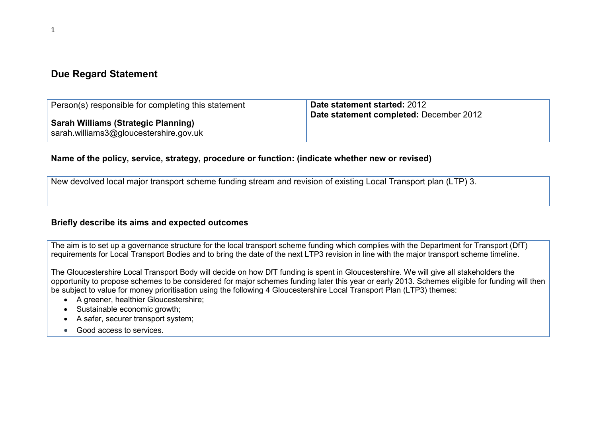#### Due Regard Statement

| Person(s) responsible for completing this statement                                  | Date statement started: 2012<br>Date statement completed: December 2012 |
|--------------------------------------------------------------------------------------|-------------------------------------------------------------------------|
| <b>Sarah Williams (Strategic Planning)</b><br>sarah.williams3@gloucestershire.gov.uk |                                                                         |

#### Name of the policy, service, strategy, procedure or function: (indicate whether new or revised)

New devolved local major transport scheme funding stream and revision of existing Local Transport plan (LTP) 3.

#### Briefly describe its aims and expected outcomes

The aim is to set up a governance structure for the local transport scheme funding which complies with the Department for Transport (DfT) requirements for Local Transport Bodies and to bring the date of the next LTP3 revision in line with the major transport scheme timeline.

The Gloucestershire Local Transport Body will decide on how DfT funding is spent in Gloucestershire. We will give all stakeholders the opportunity to propose schemes to be considered for major schemes funding later this year or early 2013. Schemes eligible for funding will then be subject to value for money prioritisation using the following 4 Gloucestershire Local Transport Plan (LTP3) themes:

- A greener, healthier Gloucestershire;
- Sustainable economic growth;
- A safer, securer transport system;
- Good access to services.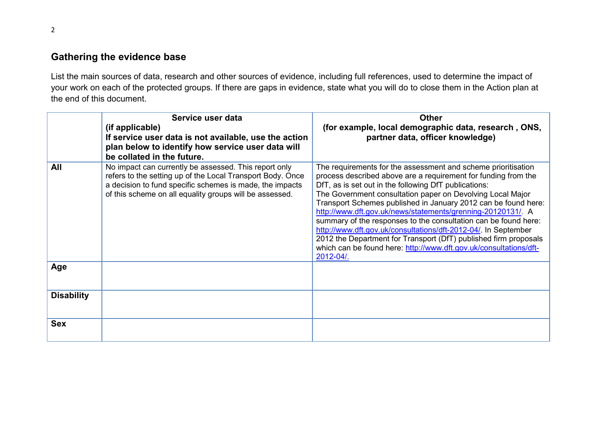## Gathering the evidence base

List the main sources of data, research and other sources of evidence, including full references, used to determine the impact of your work on each of the protected groups. If there are gaps in evidence, state what you will do to close them in the Action plan at the end of this document.

|                   | Service user data<br>(if applicable)<br>If service user data is not available, use the action<br>plan below to identify how service user data will<br>be collated in the future.                                                           | <b>Other</b><br>(for example, local demographic data, research, ONS,<br>partner data, officer knowledge)                                                                                                                                                                                                                                                                                                                                                                                                                                                                                                                                                                           |
|-------------------|--------------------------------------------------------------------------------------------------------------------------------------------------------------------------------------------------------------------------------------------|------------------------------------------------------------------------------------------------------------------------------------------------------------------------------------------------------------------------------------------------------------------------------------------------------------------------------------------------------------------------------------------------------------------------------------------------------------------------------------------------------------------------------------------------------------------------------------------------------------------------------------------------------------------------------------|
| All               | No impact can currently be assessed. This report only<br>refers to the setting up of the Local Transport Body. Once<br>a decision to fund specific schemes is made, the impacts<br>of this scheme on all equality groups will be assessed. | The requirements for the assessment and scheme prioritisation<br>process described above are a requirement for funding from the<br>DfT, as is set out in the following DfT publications:<br>The Government consultation paper on Devolving Local Major<br>Transport Schemes published in January 2012 can be found here:<br>http://www.dft.gov.uk/news/statements/grenning-20120131/. A<br>summary of the responses to the consultation can be found here:<br>http://www.dft.gov.uk/consultations/dft-2012-04/. In September<br>2012 the Department for Transport (DfT) published firm proposals<br>which can be found here: http://www.dft.gov.uk/consultations/dft-<br>2012-04/. |
| Age               |                                                                                                                                                                                                                                            |                                                                                                                                                                                                                                                                                                                                                                                                                                                                                                                                                                                                                                                                                    |
| <b>Disability</b> |                                                                                                                                                                                                                                            |                                                                                                                                                                                                                                                                                                                                                                                                                                                                                                                                                                                                                                                                                    |
| <b>Sex</b>        |                                                                                                                                                                                                                                            |                                                                                                                                                                                                                                                                                                                                                                                                                                                                                                                                                                                                                                                                                    |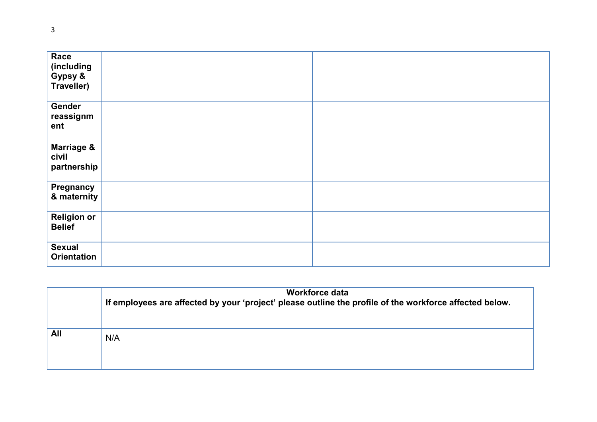| Race<br>(including<br>Gypsy &<br>Traveller)   |  |
|-----------------------------------------------|--|
| Gender<br>reassignm<br>ent                    |  |
| <b>Marriage &amp;</b><br>civil<br>partnership |  |
| <b>Pregnancy</b><br>& maternity               |  |
| <b>Religion or</b><br><b>Belief</b>           |  |
| <b>Sexual</b><br><b>Orientation</b>           |  |

|     | Workforce data<br>If employees are affected by your 'project' please outline the profile of the workforce affected below. |
|-----|---------------------------------------------------------------------------------------------------------------------------|
| All | N/A                                                                                                                       |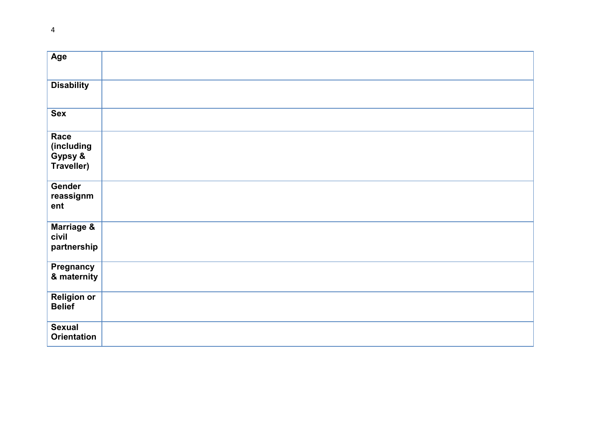| Age                                                |  |
|----------------------------------------------------|--|
| <b>Disability</b>                                  |  |
| <b>Sex</b>                                         |  |
| Race<br>(including<br>Gypsy &<br><b>Traveller)</b> |  |
| Gender<br>reassignm<br>ent                         |  |
| <b>Marriage &amp;</b><br>civil<br>partnership      |  |
| <b>Pregnancy</b><br>& maternity                    |  |
| <b>Religion or</b><br><b>Belief</b>                |  |
| <b>Sexual</b><br><b>Orientation</b>                |  |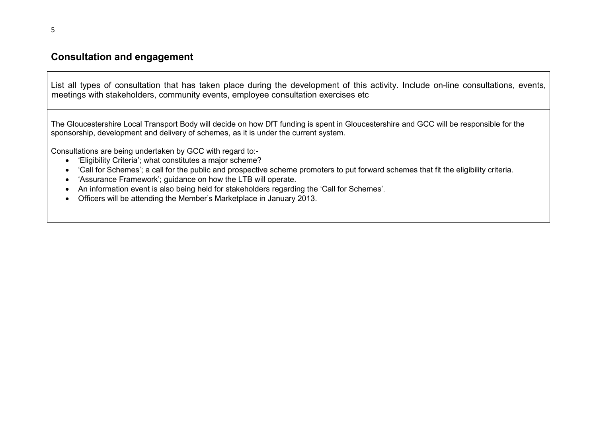#### Consultation and engagement

List all types of consultation that has taken place during the development of this activity. Include on-line consultations, events, meetings with stakeholders, community events, employee consultation exercises etc

The Gloucestershire Local Transport Body will decide on how DfT funding is spent in Gloucestershire and GCC will be responsible for the sponsorship, development and delivery of schemes, as it is under the current system.

Consultations are being undertaken by GCC with regard to:-

- 'Eligibility Criteria'; what constitutes a major scheme?
- 'Call for Schemes'; a call for the public and prospective scheme promoters to put forward schemes that fit the eligibility criteria.
- 'Assurance Framework'; guidance on how the LTB will operate.
- An information event is also being held for stakeholders regarding the 'Call for Schemes'.
- Officers will be attending the Member's Marketplace in January 2013.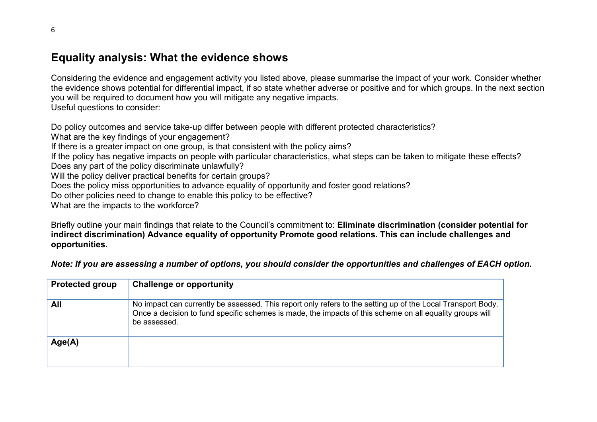## Equality analysis: What the evidence shows

Considering the evidence and engagement activity you listed above, please summarise the impact of your work. Consider whether the evidence shows potential for differential impact, if so state whether adverse or positive and for which groups. In the next section you will be required to document how you will mitigate any negative impacts. Useful questions to consider:

Do policy outcomes and service take-up differ between people with different protected characteristics?

What are the key findings of your engagement?

If there is a greater impact on one group, is that consistent with the policy aims?

If the policy has negative impacts on people with particular characteristics, what steps can be taken to mitigate these effects?

Does any part of the policy discriminate unlawfully?

Will the policy deliver practical benefits for certain groups?

Does the policy miss opportunities to advance equality of opportunity and foster good relations?

Do other policies need to change to enable this policy to be effective?

What are the impacts to the workforce?

Briefly outline your main findings that relate to the Council's commitment to: Eliminate discrimination (consider potential for indirect discrimination) Advance equality of opportunity Promote good relations. This can include challenges and opportunities.

Note: If you are assessing a number of options, you should consider the opportunities and challenges of EACH option.

| <b>Protected group</b> | <b>Challenge or opportunity</b>                                                                                                                                                                                                         |
|------------------------|-----------------------------------------------------------------------------------------------------------------------------------------------------------------------------------------------------------------------------------------|
| <b>All</b>             | No impact can currently be assessed. This report only refers to the setting up of the Local Transport Body.<br>Once a decision to fund specific schemes is made, the impacts of this scheme on all equality groups will<br>be assessed. |
| Age(A)                 |                                                                                                                                                                                                                                         |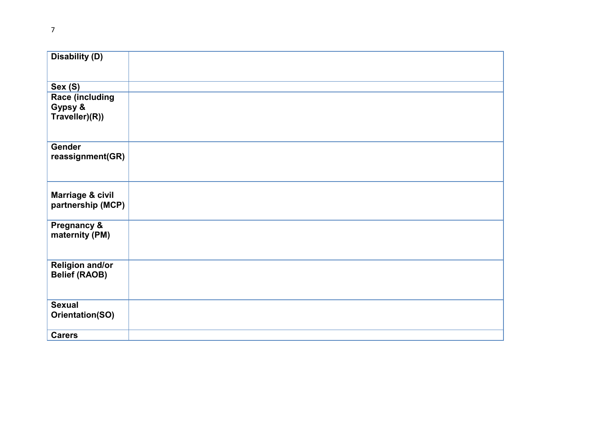| <b>Disability (D)</b>  |  |
|------------------------|--|
| Sex (S)                |  |
| <b>Race (including</b> |  |
| Gypsy &                |  |
| Traveller)(R))         |  |
|                        |  |
| <b>Gender</b>          |  |
| reassignment(GR)       |  |
|                        |  |
|                        |  |
| Marriage & civil       |  |
| partnership (MCP)      |  |
|                        |  |
| <b>Pregnancy &amp;</b> |  |
| maternity (PM)         |  |
|                        |  |
| <b>Religion and/or</b> |  |
| <b>Belief (RAOB)</b>   |  |
|                        |  |
| <b>Sexual</b>          |  |
| Orientation(SO)        |  |
|                        |  |
| <b>Carers</b>          |  |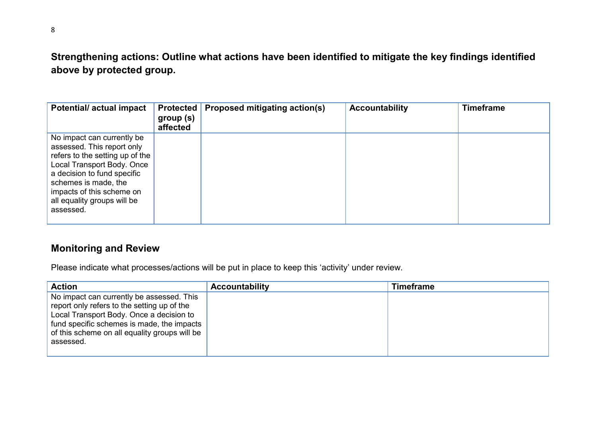# Strengthening actions: Outline what actions have been identified to mitigate the key findings identified above by protected group.

| <b>Potential/actual impact</b>                                                                                                                                                                                                                            | group (s)<br>affected | Protected   Proposed mitigating action(s) | <b>Accountability</b> | <b>Timeframe</b> |
|-----------------------------------------------------------------------------------------------------------------------------------------------------------------------------------------------------------------------------------------------------------|-----------------------|-------------------------------------------|-----------------------|------------------|
| No impact can currently be<br>assessed. This report only<br>refers to the setting up of the<br>Local Transport Body. Once<br>a decision to fund specific<br>schemes is made, the<br>impacts of this scheme on<br>all equality groups will be<br>assessed. |                       |                                           |                       |                  |

## Monitoring and Review

Please indicate what processes/actions will be put in place to keep this 'activity' under review.

| <b>Action</b>                                                                                                                                                                                                                                    | <b>Accountability</b> | <b>Timeframe</b> |
|--------------------------------------------------------------------------------------------------------------------------------------------------------------------------------------------------------------------------------------------------|-----------------------|------------------|
| No impact can currently be assessed. This<br>report only refers to the setting up of the<br>Local Transport Body. Once a decision to<br>fund specific schemes is made, the impacts<br>of this scheme on all equality groups will be<br>assessed. |                       |                  |